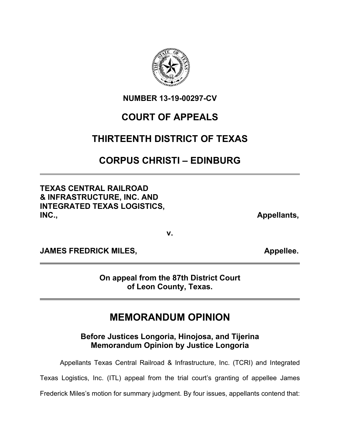

**NUMBER 13-19-00297-CV**

## **COURT OF APPEALS**

## **THIRTEENTH DISTRICT OF TEXAS**

## **CORPUS CHRISTI – EDINBURG**

**TEXAS CENTRAL RAILROAD & INFRASTRUCTURE, INC. AND INTEGRATED TEXAS LOGISTICS, INC., Appellants,** 

**v.**

**JAMES FREDRICK MILES, Appellee.** 

**On appeal from the 87th District Court of Leon County, Texas.**

# **MEMORANDUM OPINION**

**Before Justices Longoria, Hinojosa, and Tijerina Memorandum Opinion by Justice Longoria**

Appellants Texas Central Railroad & Infrastructure, Inc. (TCRI) and Integrated

Texas Logistics, Inc. (ITL) appeal from the trial court's granting of appellee James

Frederick Miles's motion for summary judgment. By four issues, appellants contend that: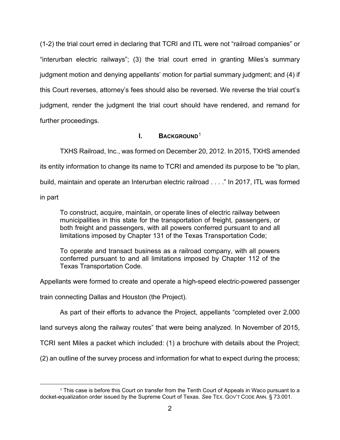(1-2) the trial court erred in declaring that TCRI and ITL were not "railroad companies" or "interurban electric railways"; (3) the trial court erred in granting Miles's summary judgment motion and denying appellants' motion for partial summary judgment; and (4) if this Court reverses, attorney's fees should also be reversed. We reverse the trial court's judgment, render the judgment the trial court should have rendered, and remand for further proceedings.

### **I. BACKGROUND**[1](#page-1-0)

TXHS Railroad, Inc., was formed on December 20, 2012. In 2015, TXHS amended its entity information to change its name to TCRI and amended its purpose to be "to plan, build, maintain and operate an Interurban electric railroad . . . ." In 2017, ITL was formed

in part

To construct, acquire, maintain, or operate lines of electric railway between municipalities in this state for the transportation of freight, passengers, or both freight and passengers, with all powers conferred pursuant to and all limitations imposed by Chapter 131 of the Texas Transportation Code;

To operate and transact business as a railroad company, with all powers conferred pursuant to and all limitations imposed by Chapter 112 of the Texas Transportation Code.

Appellants were formed to create and operate a high-speed electric-powered passenger

train connecting Dallas and Houston (the Project).

As part of their efforts to advance the Project, appellants "completed over 2,000

land surveys along the railway routes" that were being analyzed. In November of 2015,

TCRI sent Miles a packet which included: (1) a brochure with details about the Project;

(2) an outline of the survey process and information for what to expect during the process;

<span id="page-1-0"></span><sup>1</sup> This case is before this Court on transfer from the Tenth Court of Appeals in Waco pursuant to a docket-equalization order issued by the Supreme Court of Texas. *See* TEX. GOV'T CODE ANN. § 73.001.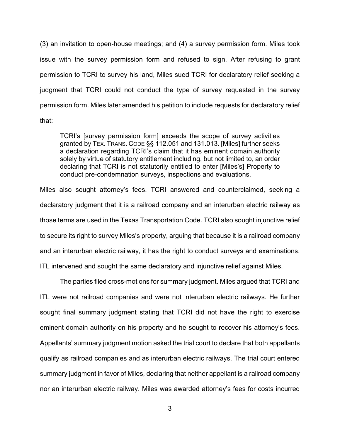(3) an invitation to open-house meetings; and (4) a survey permission form. Miles took issue with the survey permission form and refused to sign. After refusing to grant permission to TCRI to survey his land, Miles sued TCRI for declaratory relief seeking a judgment that TCRI could not conduct the type of survey requested in the survey permission form. Miles later amended his petition to include requests for declaratory relief that:

TCRI's [survey permission form] exceeds the scope of survey activities granted by TEX. TRANS. CODE §§ 112.051 and 131.013. [Miles] further seeks a declaration regarding TCRI's claim that it has eminent domain authority solely by virtue of statutory entitlement including, but not limited to, an order declaring that TCRI is not statutorily entitled to enter [Miles's] Property to conduct pre-condemnation surveys, inspections and evaluations.

Miles also sought attorney's fees. TCRI answered and counterclaimed, seeking a declaratory judgment that it is a railroad company and an interurban electric railway as those terms are used in the Texas Transportation Code. TCRI also sought injunctive relief to secure its right to survey Miles's property, arguing that because it is a railroad company and an interurban electric railway, it has the right to conduct surveys and examinations. ITL intervened and sought the same declaratory and injunctive relief against Miles.

The parties filed cross-motions for summary judgment. Miles argued that TCRI and ITL were not railroad companies and were not interurban electric railways. He further sought final summary judgment stating that TCRI did not have the right to exercise eminent domain authority on his property and he sought to recover his attorney's fees. Appellants' summary judgment motion asked the trial court to declare that both appellants qualify as railroad companies and as interurban electric railways. The trial court entered summary judgment in favor of Miles, declaring that neither appellant is a railroad company nor an interurban electric railway. Miles was awarded attorney's fees for costs incurred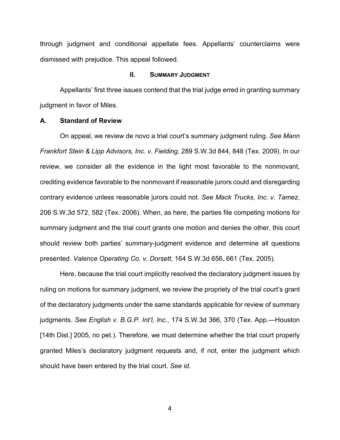through judgment and conditional appellate fees. Appellants' counterclaims were dismissed with prejudice. This appeal followed.

#### **II. SUMMARY JUDGMENT**

Appellants' first three issues contend that the trial judge erred in granting summary judgment in favor of Miles.

#### **A. Standard of Review**

On appeal, we review de novo a trial court's summary judgment ruling. *See Mann Frankfort Stein & Lipp Advisors, Inc. v. Fielding*, 289 S.W.3d 844, 848 (Tex. 2009). In our review, we consider all the evidence in the light most favorable to the nonmovant, crediting evidence favorable to the nonmovant if reasonable jurors could and disregarding contrary evidence unless reasonable jurors could not. *See Mack Trucks, Inc. v. Tamez*, 206 S.W.3d 572, 582 (Tex. 2006). When, as here, the parties file competing motions for summary judgment and the trial court grants one motion and denies the other, this court should review both parties' summary-judgment evidence and determine all questions presented. *Valence Operating Co. v. Dorsett*, 164 S.W.3d 656, 661 (Tex. 2005).

Here, because the trial court implicitly resolved the declaratory judgment issues by ruling on motions for summary judgment, we review the propriety of the trial court's grant of the declaratory judgments under the same standards applicable for review of summary judgments. *See English v. B.G.P. Int'l, Inc.*, 174 S.W.3d 366, 370 (Tex. App.—Houston [14th Dist.] 2005, no pet.). Therefore, we must determine whether the trial court properly granted Miles's declaratory judgment requests and, if not, enter the judgment which should have been entered by the trial court. *See id*.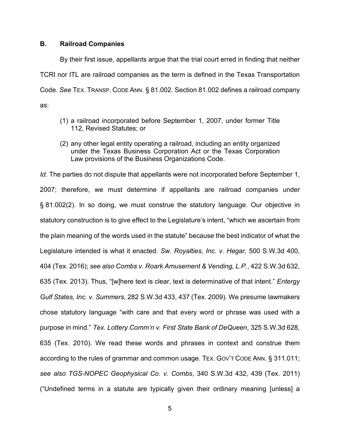#### **B. Railroad Companies**

By their first issue, appellants argue that the trial court erred in finding that neither TCRI nor ITL are railroad companies as the term is defined in the Texas Transportation Code. *See* TEX. TRANSP. CODE ANN. § 81.002. Section 81.002 defines a railroad company as:

- (1) a railroad incorporated before September 1, 2007, under former Title 112, Revised Statutes; or
- (2) any other legal entity operating a railroad, including an entity organized under the Texas Business Corporation Act or the Texas Corporation Law provisions of the Business Organizations Code.

*Id.* The parties do not dispute that appellants were not incorporated before September 1, 2007; therefore, we must determine if appellants are railroad companies under § 81.002(2). In so doing, we must construe the statutory language. Our objective in statutory construction is to give effect to the Legislature's intent, "which we ascertain from the plain meaning of the words used in the statute" because the best indicator of what the Legislature intended is what it enacted. *Sw. Royalties, Inc. v. Hegar*, 500 S.W.3d 400, 404 (Tex. 2016); *see also Combs v. Roark Amusement & Vending, L.P.*, 422 S.W.3d 632, 635 (Tex. 2013). Thus, "[w]here text is clear, text is determinative of that intent." *Entergy Gulf States, Inc. v. Summers*, 282 S.W.3d 433, 437 (Tex. 2009). We presume lawmakers chose statutory language "with care and that every word or phrase was used with a purpose in mind." *Tex. Lottery Comm'n v. First State Bank of DeQueen*, 325 S.W.3d 628, 635 (Tex. 2010). We read these words and phrases in context and construe them according to the rules of grammar and common usage. TEX. GOV'T CODE ANN. § 311.011; *see also TGS-NOPEC Geophysical Co. v. Combs*, 340 S.W.3d 432, 439 (Tex. 2011) ("Undefined terms in a statute are typically given their ordinary meaning [unless] a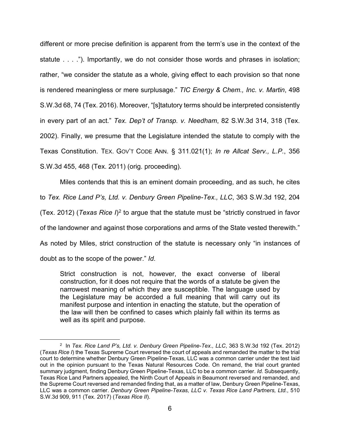different or more precise definition is apparent from the term's use in the context of the statute . . . ."). Importantly, we do not consider those words and phrases in isolation; rather, "we consider the statute as a whole, giving effect to each provision so that none is rendered meaningless or mere surplusage." *TIC Energy & Chem., Inc. v. Martin*, 498 S.W.3d 68, 74 (Tex. 2016). Moreover, "[s]tatutory terms should be interpreted consistently in every part of an act." *Tex. Dep't of Transp. v. Needham*, 82 S.W.3d 314, 318 (Tex. 2002). Finally, we presume that the Legislature intended the statute to comply with the Texas Constitution. TEX. GOV'T CODE ANN. § 311.021(1); *In re Allcat Serv., L.P.*, 356 S.W.3d 455, 468 (Tex. 2011) (orig. proceeding).

Miles contends that this is an eminent domain proceeding, and as such, he cites to *Tex. Rice Land P's, Ltd. v. Denbury Green Pipeline-Tex., LLC*, 363 S.W.3d 192, 204 (Tex. [2](#page-5-0)012) (Texas Rice I)<sup>2</sup> to argue that the statute must be "strictly construed in favor of the landowner and against those corporations and arms of the State vested therewith." As noted by Miles, strict construction of the statute is necessary only "in instances of doubt as to the scope of the power." *Id*.

Strict construction is not, however, the exact converse of liberal construction, for it does not require that the words of a statute be given the narrowest meaning of which they are susceptible. The language used by the Legislature may be accorded a full meaning that will carry out its manifest purpose and intention in enacting the statute, but the operation of the law will then be confined to cases which plainly fall within its terms as well as its spirit and purpose.

<span id="page-5-0"></span><sup>2</sup> In *Tex. Rice Land P's, Ltd. v. Denbury Green Pipeline-Tex., LLC*, 363 S.W.3d 192 (Tex. 2012) (*Texas Rice I*) the Texas Supreme Court reversed the court of appeals and remanded the matter to the trial court to determine whether Denbury Green Pipeline-Texas, LLC was a common carrier under the test laid out in the opinion pursuant to the Texas Natural Resources Code. On remand, the trial court granted summary judgment, finding Denbury Green Pipeline-Texas, LLC to be a common carrier. *Id.* Subsequently, Texas Rice Land Partners appealed, the Ninth Court of Appeals in Beaumont reversed and remanded, and the Supreme Court reversed and remanded finding that, as a matter of law, Denbury Green Pipeline-Texas, LLC was a common carrier. *Denbury Green Pipeline-Texas, LLC v. Texas Rice Land Partners, Ltd.*, 510 S.W.3d 909, 911 (Tex. 2017) (*Texas Rice II*).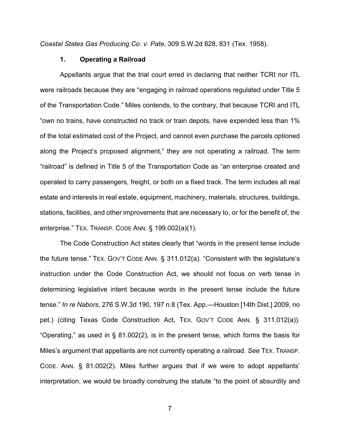*Coastal States Gas Producing Co. v. Pate*, 309 S.W.2d 828, 831 (Tex. 1958).

#### **1. Operating a Railroad**

Appellants argue that the trial court erred in declaring that neither TCRI nor ITL were railroads because they are "engaging in railroad operations regulated under Title 5 of the Transportation Code." Miles contends, to the contrary, that because TCRI and ITL "own no trains, have constructed no track or train depots, have expended less than 1% of the total estimated cost of the Project, and cannot even purchase the parcels optioned along the Project's proposed alignment," they are not operating a railroad. The term "railroad" is defined in Title 5 of the Transportation Code as "an enterprise created and operated to carry passengers, freight, or both on a fixed track. The term includes all real estate and interests in real estate, equipment, machinery, materials, structures, buildings, stations, facilities, and other improvements that are necessary to, or for the benefit of, the enterprise." TEX. TRANSP. CODE ANN. § 199.002(a)(1).

The Code Construction Act states clearly that "words in the present tense include the future tense." TEX. GOV'T CODE ANN. § 311.012(a). "Consistent with the legislature's instruction under the Code Construction Act, we should not focus on verb tense in determining legislative intent because words in the present tense include the future tense." *In re Nabors*, 276 S.W.3d 190, 197 n.8 (Tex. App.—Houston [14th Dist.] 2009, no pet.) (citing Texas Code Construction Act, TEX. GOV'T CODE ANN. § 311.012(a)). "Operating," as used in § 81.002(2), is in the present tense, which forms the basis for Miles's argument that appellants are not currently operating a railroad. *See* TEX. TRANSP. CODE. ANN. § 81.002(2). Miles further argues that if we were to adopt appellants' interpretation, we would be broadly construing the statute "to the point of absurdity and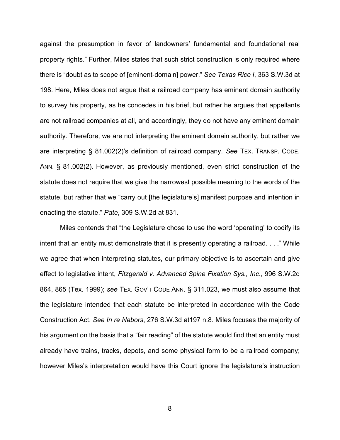against the presumption in favor of landowners' fundamental and foundational real property rights." Further, Miles states that such strict construction is only required where there is "doubt as to scope of [eminent-domain] power." *See Texas Rice I*, 363 S.W.3d at 198. Here, Miles does not argue that a railroad company has eminent domain authority to survey his property, as he concedes in his brief, but rather he argues that appellants are not railroad companies at all, and accordingly, they do not have any eminent domain authority. Therefore, we are not interpreting the eminent domain authority, but rather we are interpreting § 81.002(2)'s definition of railroad company. *See* TEX. TRANSP. CODE. ANN. § 81.002(2). However, as previously mentioned, even strict construction of the statute does not require that we give the narrowest possible meaning to the words of the statute, but rather that we "carry out [the legislature's] manifest purpose and intention in enacting the statute." *Pate*, 309 S.W.2d at 831.

Miles contends that "the Legislature chose to use the word 'operating' to codify its intent that an entity must demonstrate that it is presently operating a railroad. . . ." While we agree that when interpreting statutes, our primary objective is to ascertain and give effect to legislative intent, *Fitzgerald v. Advanced Spine Fixation Sys., Inc*., 996 S.W.2d 864, 865 (Tex. 1999); *see* TEX. GOV'T CODE ANN. § 311.023, we must also assume that the legislature intended that each statute be interpreted in accordance with the Code Construction Act. *See In re Nabors*, 276 S.W.3d at197 n.8. Miles focuses the majority of his argument on the basis that a "fair reading" of the statute would find that an entity must already have trains, tracks, depots, and some physical form to be a railroad company; however Miles's interpretation would have this Court ignore the legislature's instruction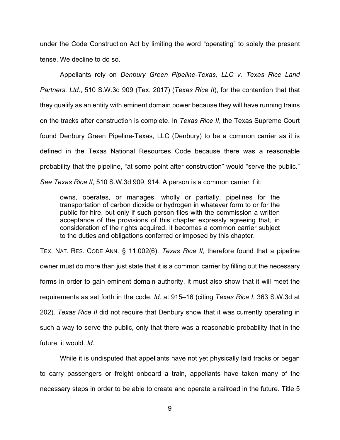under the Code Construction Act by limiting the word "operating" to solely the present tense. We decline to do so.

Appellants rely on *Denbury Green Pipeline-Texas, LLC v. Texas Rice Land Partners, Ltd.*, 510 S.W.3d 909 (Tex. 2017) (*Texas Rice II*), for the contention that that they qualify as an entity with eminent domain power because they will have running trains on the tracks after construction is complete. In *Texas Rice II*, the Texas Supreme Court found Denbury Green Pipeline-Texas, LLC (Denbury) to be a common carrier as it is defined in the Texas National Resources Code because there was a reasonable probability that the pipeline, "at some point after construction" would "serve the public." *See Texas Rice II*, 510 S.W.3d 909, 914. A person is a common carrier if it:

owns, operates, or manages, wholly or partially, pipelines for the transportation of carbon dioxide or hydrogen in whatever form to or for the public for hire, but only if such person files with the commission a written acceptance of the provisions of this chapter expressly agreeing that, in consideration of the rights acquired, it becomes a common carrier subject to the duties and obligations conferred or imposed by this chapter.

TEX. NAT. RES. CODE ANN. § 11.002(6). *Texas Rice II*, therefore found that a pipeline owner must do more than just state that it is a common carrier by filling out the necessary forms in order to gain eminent domain authority, it must also show that it will meet the requirements as set forth in the code. *Id*. at 915–16 (citing *Texas Rice I*, 363 S.W.3d at 202). *Texas Rice II* did not require that Denbury show that it was currently operating in such a way to serve the public, only that there was a reasonable probability that in the future, it would. *Id*.

While it is undisputed that appellants have not yet physically laid tracks or began to carry passengers or freight onboard a train, appellants have taken many of the necessary steps in order to be able to create and operate a railroad in the future. Title 5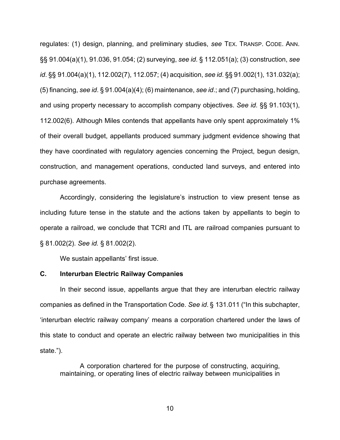regulates: (1) design, planning, and preliminary studies, *see* TEX. TRANSP. CODE. ANN. §§ 91.004(a)(1), 91.036, 91.054; (2) surveying, *see id*. § 112.051(a); (3) construction, *see id*. §§ 91.004(a)(1), 112.002(7), 112.057; (4) acquisition, *see id*. §§ 91.002(1), 131.032(a); (5) financing, *see id*. § 91.004(a)(4); (6) maintenance, *see id*.; and (7) purchasing, holding, and using property necessary to accomplish company objectives. *See id*. §§ 91.103(1), 112.002(6). Although Miles contends that appellants have only spent approximately 1% of their overall budget, appellants produced summary judgment evidence showing that they have coordinated with regulatory agencies concerning the Project, begun design, construction, and management operations, conducted land surveys, and entered into purchase agreements.

Accordingly, considering the legislature's instruction to view present tense as including future tense in the statute and the actions taken by appellants to begin to operate a railroad, we conclude that TCRI and ITL are railroad companies pursuant to § 81.002(2). *See id.* § 81.002(2).

We sustain appellants' first issue.

#### **C. Interurban Electric Railway Companies**

In their second issue, appellants argue that they are interurban electric railway companies as defined in the Transportation Code. *See id*. § 131.011 ("In this subchapter, 'interurban electric railway company' means a corporation chartered under the laws of this state to conduct and operate an electric railway between two municipalities in this state.").

A corporation chartered for the purpose of constructing, acquiring, maintaining, or operating lines of electric railway between municipalities in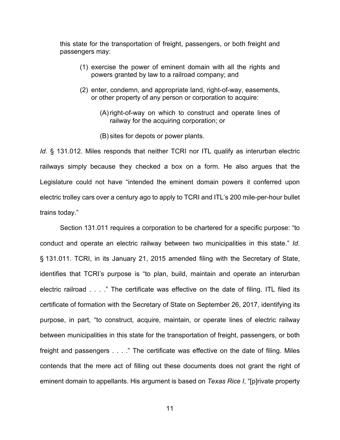this state for the transportation of freight, passengers, or both freight and passengers may:

- (1) exercise the power of eminent domain with all the rights and powers granted by law to a railroad company; and
- (2) enter, condemn, and appropriate land, right-of-way, easements, or other property of any person or corporation to acquire:
	- (A) right-of-way on which to construct and operate lines of railway for the acquiring corporation; or
	- (B) sites for depots or power plants.

*Id*. § 131.012. Miles responds that neither TCRI nor ITL qualify as interurban electric railways simply because they checked a box on a form. He also argues that the Legislature could not have "intended the eminent domain powers it conferred upon electric trolley cars over a century ago to apply to TCRI and ITL's 200 mile-per-hour bullet trains today."

Section 131.011 requires a corporation to be chartered for a specific purpose: "to conduct and operate an electric railway between two municipalities in this state." *Id*. § 131.011. TCRI, in its January 21, 2015 amended filing with the Secretary of State, identifies that TCRI's purpose is "to plan, build, maintain and operate an interurban electric railroad . . . ." The certificate was effective on the date of filing. ITL filed its certificate of formation with the Secretary of State on September 26, 2017, identifying its purpose, in part, "to construct, acquire, maintain, or operate lines of electric railway between municipalities in this state for the transportation of freight, passengers, or both freight and passengers . . . ." The certificate was effective on the date of filing. Miles contends that the mere act of filling out these documents does not grant the right of eminent domain to appellants. His argument is based on *Texas Rice I*, "[p]rivate property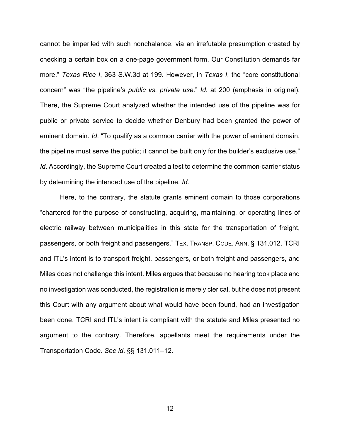cannot be imperiled with such nonchalance, via an irrefutable presumption created by checking a certain box on a one-page government form. Our Constitution demands far more." *Texas Rice I*, 363 S.W.3d at 199. However, in *Texas I*, the "core constitutional concern" was "the pipeline's *public vs. private use*." *Id.* at 200 (emphasis in original). There, the Supreme Court analyzed whether the intended use of the pipeline was for public or private service to decide whether Denbury had been granted the power of eminent domain. *Id*. "To qualify as a common carrier with the power of eminent domain, the pipeline must serve the public; it cannot be built only for the builder's exclusive use." *Id*. Accordingly, the Supreme Court created a test to determine the common-carrier status by determining the intended use of the pipeline. *Id*.

Here, to the contrary, the statute grants eminent domain to those corporations "chartered for the purpose of constructing, acquiring, maintaining, or operating lines of electric railway between municipalities in this state for the transportation of freight, passengers, or both freight and passengers." TEX. TRANSP. CODE. ANN. § 131.012. TCRI and ITL's intent is to transport freight, passengers, or both freight and passengers, and Miles does not challenge this intent. Miles argues that because no hearing took place and no investigation was conducted, the registration is merely clerical, but he does not present this Court with any argument about what would have been found, had an investigation been done. TCRI and ITL's intent is compliant with the statute and Miles presented no argument to the contrary. Therefore, appellants meet the requirements under the Transportation Code. *See id*. §§ 131.011–12.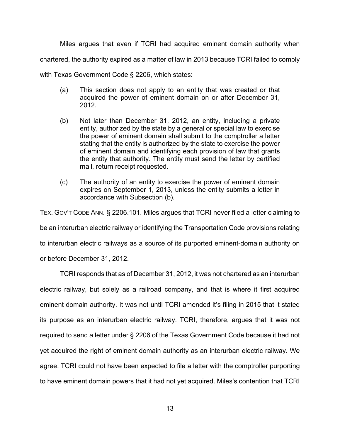Miles argues that even if TCRI had acquired eminent domain authority when

chartered, the authority expired as a matter of law in 2013 because TCRI failed to comply

with Texas Government Code § 2206, which states:

- (a) This section does not apply to an entity that was created or that acquired the power of eminent domain on or after December 31, 2012.
- (b) Not later than December 31, 2012, an entity, including a private entity, authorized by the state by a general or special law to exercise the power of eminent domain shall submit to the comptroller a letter stating that the entity is authorized by the state to exercise the power of eminent domain and identifying each provision of law that grants the entity that authority. The entity must send the letter by certified mail, return receipt requested.
- (c) The authority of an entity to exercise the power of eminent domain expires on September 1, 2013, unless the entity submits a letter in accordance with Subsection (b).

TEX. GOV'T CODE ANN. § 2206.101. Miles argues that TCRI never filed a letter claiming to be an interurban electric railway or identifying the Transportation Code provisions relating to interurban electric railways as a source of its purported eminent-domain authority on or before December 31, 2012.

TCRI responds that as of December 31, 2012, it was not chartered as an interurban electric railway, but solely as a railroad company, and that is where it first acquired eminent domain authority. It was not until TCRI amended it's filing in 2015 that it stated its purpose as an interurban electric railway. TCRI, therefore, argues that it was not required to send a letter under § 2206 of the Texas Government Code because it had not yet acquired the right of eminent domain authority as an interurban electric railway. We agree. TCRI could not have been expected to file a letter with the comptroller purporting to have eminent domain powers that it had not yet acquired. Miles's contention that TCRI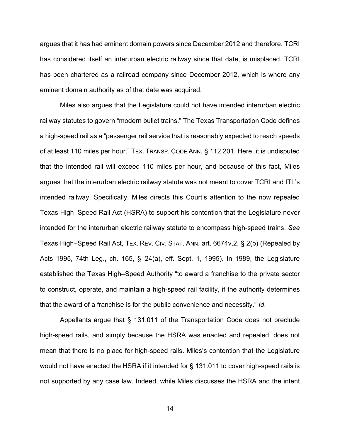argues that it has had eminent domain powers since December 2012 and therefore, TCRI has considered itself an interurban electric railway since that date, is misplaced. TCRI has been chartered as a railroad company since December 2012, which is where any eminent domain authority as of that date was acquired.

Miles also argues that the Legislature could not have intended interurban electric railway statutes to govern "modern bullet trains." The Texas Transportation Code defines a high-speed rail as a "passenger rail service that is reasonably expected to reach speeds of at least 110 miles per hour." TEX. TRANSP. CODE ANN. § 112.201. Here, it is undisputed that the intended rail will exceed 110 miles per hour, and because of this fact, Miles argues that the interurban electric railway statute was not meant to cover TCRI and ITL's intended railway. Specifically, Miles directs this Court's attention to the now repealed Texas High–Speed Rail Act (HSRA) to support his contention that the Legislature never intended for the interurban electric railway statute to encompass high-speed trains. *See*  Texas High–Speed Rail Act, TEX. REV. CIV. STAT. ANN. art. 6674v.2, § 2(b) (Repealed by Acts 1995, 74th Leg., ch. 165, § 24(a), eff. Sept. 1, 1995). In 1989, the Legislature established the Texas High–Speed Authority "to award a franchise to the private sector to construct, operate, and maintain a high-speed rail facility, if the authority determines that the award of a franchise is for the public convenience and necessity." *Id*.

Appellants argue that § 131.011 of the Transportation Code does not preclude high-speed rails, and simply because the HSRA was enacted and repealed, does not mean that there is no place for high-speed rails. Miles's contention that the Legislature would not have enacted the HSRA if it intended for § 131.011 to cover high-speed rails is not supported by any case law. Indeed, while Miles discusses the HSRA and the intent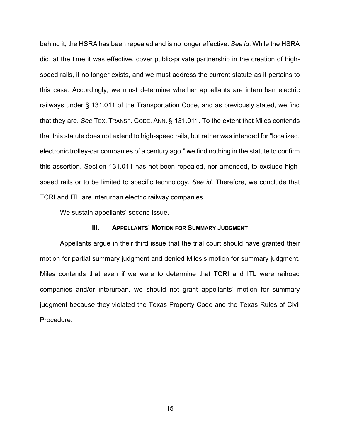behind it, the HSRA has been repealed and is no longer effective. *See id*. While the HSRA did, at the time it was effective, cover public-private partnership in the creation of highspeed rails, it no longer exists, and we must address the current statute as it pertains to this case. Accordingly, we must determine whether appellants are interurban electric railways under § 131.011 of the Transportation Code, and as previously stated, we find that they are. *See* TEX. TRANSP. CODE. ANN. § 131.011. To the extent that Miles contends that this statute does not extend to high-speed rails, but rather was intended for "localized, electronic trolley-car companies of a century ago," we find nothing in the statute to confirm this assertion. Section 131.011 has not been repealed, nor amended, to exclude highspeed rails or to be limited to specific technology. *See id*. Therefore, we conclude that TCRI and ITL are interurban electric railway companies.

We sustain appellants' second issue.

#### **III. APPELLANTS' MOTION FOR SUMMARY JUDGMENT**

Appellants argue in their third issue that the trial court should have granted their motion for partial summary judgment and denied Miles's motion for summary judgment. Miles contends that even if we were to determine that TCRI and ITL were railroad companies and/or interurban, we should not grant appellants' motion for summary judgment because they violated the Texas Property Code and the Texas Rules of Civil Procedure.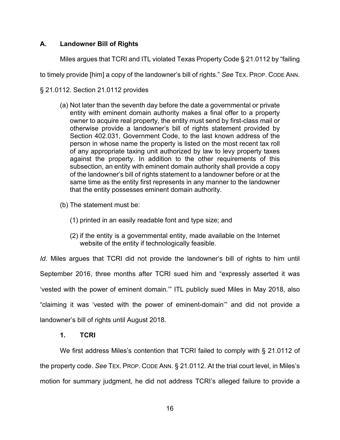## **A. Landowner Bill of Rights**

Miles argues that TCRI and ITL violated Texas Property Code § 21.0112 by "failing

to timely provide [him] a copy of the landowner's bill of rights." *See* TEX. PROP. CODE ANN.

§ 21.0112. Section 21.0112 provides

(a) Not later than the seventh day before the date a governmental or private entity with eminent domain authority makes a final offer to a property owner to acquire real property, the entity must send by first-class mail or otherwise provide a landowner's bill of rights statement provided by Section 402.031, Government Code, to the last known address of the person in whose name the property is listed on the most recent tax roll of any appropriate taxing unit authorized by law to levy property taxes against the property. In addition to the other requirements of this subsection, an entity with eminent domain authority shall provide a copy of the landowner's bill of rights statement to a landowner before or at the same time as the entity first represents in any manner to the landowner that the entity possesses eminent domain authority.

(b) The statement must be:

- (1) printed in an easily readable font and type size; and
- (2) if the entity is a governmental entity, made available on the Internet website of the entity if technologically feasible.

*Id*. Miles argues that TCRI did not provide the landowner's bill of rights to him until September 2016, three months after TCRI sued him and "expressly asserted it was 'vested with the power of eminent domain.'" ITL publicly sued Miles in May 2018, also "claiming it was 'vested with the power of eminent-domain'" and did not provide a landowner's bill of rights until August 2018.

### **1. TCRI**

We first address Miles's contention that TCRI failed to comply with § 21.0112 of the property code. *See* TEX. PROP. CODE ANN. § 21.0112. At the trial court level, in Miles's motion for summary judgment, he did not address TCRI's alleged failure to provide a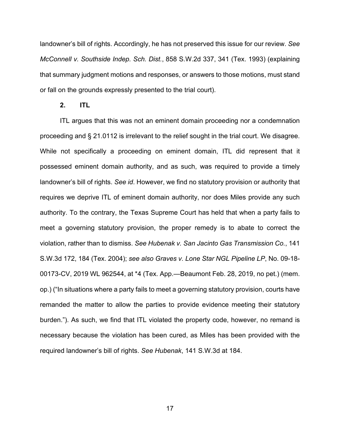landowner's bill of rights. Accordingly, he has not preserved this issue for our review. *See McConnell v. Southside Indep. Sch. Dist.*, 858 S.W.2d 337, 341 (Tex. 1993) (explaining that summary judgment motions and responses, or answers to those motions, must stand or fall on the grounds expressly presented to the trial court).

#### **2. ITL**

ITL argues that this was not an eminent domain proceeding nor a condemnation proceeding and § 21.0112 is irrelevant to the relief sought in the trial court. We disagree. While not specifically a proceeding on eminent domain, ITL did represent that it possessed eminent domain authority, and as such, was required to provide a timely landowner's bill of rights. *See id*. However, we find no statutory provision or authority that requires we deprive ITL of eminent domain authority, nor does Miles provide any such authority. To the contrary, the Texas Supreme Court has held that when a party fails to meet a governing statutory provision, the proper remedy is to abate to correct the violation, rather than to dismiss. *See Hubenak v. San Jacinto Gas Transmission Co.*, 141 S.W.3d 172, 184 (Tex. 2004); *see also Graves v. Lone Star NGL Pipeline LP*, No. 09-18- 00173-CV, 2019 WL 962544, at \*4 (Tex. App.—Beaumont Feb. 28, 2019, no pet.) (mem. op.) ("In situations where a party fails to meet a governing statutory provision, courts have remanded the matter to allow the parties to provide evidence meeting their statutory burden."). As such, we find that ITL violated the property code, however, no remand is necessary because the violation has been cured, as Miles has been provided with the required landowner's bill of rights. *See Hubenak*, 141 S.W.3d at 184.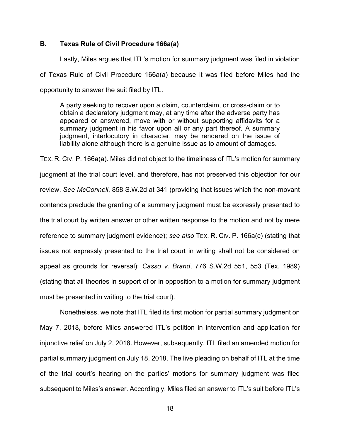### **B. Texas Rule of Civil Procedure 166a(a)**

Lastly, Miles argues that ITL's motion for summary judgment was filed in violation of Texas Rule of Civil Procedure 166a(a) because it was filed before Miles had the opportunity to answer the suit filed by ITL.

A party seeking to recover upon a claim, counterclaim, or cross-claim or to obtain a declaratory judgment may, at any time after the adverse party has appeared or answered, move with or without supporting affidavits for a summary judgment in his favor upon all or any part thereof. A summary judgment, interlocutory in character, may be rendered on the issue of liability alone although there is a genuine issue as to amount of damages.

TEX. R. CIV. P. 166a(a). Miles did not object to the timeliness of ITL's motion for summary judgment at the trial court level, and therefore, has not preserved this objection for our review. *See McConnell*, 858 S.W.2d at 341 (providing that issues which the non-movant contends preclude the granting of a summary judgment must be expressly presented to the trial court by written answer or other written response to the motion and not by mere reference to summary judgment evidence); *see also* TEX. R. CIV. P. 166a(c) (stating that issues not expressly presented to the trial court in writing shall not be considered on appeal as grounds for reversal); *Casso v. Brand*, 776 S.W.2d 551, 553 (Tex. 1989) (stating that all theories in support of or in opposition to a motion for summary judgment must be presented in writing to the trial court).

Nonetheless, we note that ITL filed its first motion for partial summary judgment on May 7, 2018, before Miles answered ITL's petition in intervention and application for injunctive relief on July 2, 2018. However, subsequently, ITL filed an amended motion for partial summary judgment on July 18, 2018. The live pleading on behalf of ITL at the time of the trial court's hearing on the parties' motions for summary judgment was filed subsequent to Miles's answer. Accordingly, Miles filed an answer to ITL's suit before ITL's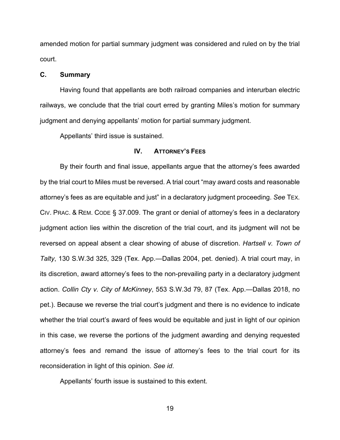amended motion for partial summary judgment was considered and ruled on by the trial court.

#### **C. Summary**

Having found that appellants are both railroad companies and interurban electric railways, we conclude that the trial court erred by granting Miles's motion for summary judgment and denying appellants' motion for partial summary judgment.

Appellants' third issue is sustained.

#### **IV. ATTORNEY'S FEES**

By their fourth and final issue, appellants argue that the attorney's fees awarded by the trial court to Miles must be reversed. A trial court "may award costs and reasonable attorney's fees as are equitable and just" in a declaratory judgment proceeding. *See* TEX. CIV. PRAC. & REM. CODE § 37.009. The grant or denial of attorney's fees in a declaratory judgment action lies within the discretion of the trial court, and its judgment will not be reversed on appeal absent a clear showing of abuse of discretion. *Hartsell v. Town of Talty*, 130 S.W.3d 325, 329 (Tex. App.—Dallas 2004, pet. denied). A trial court may, in its discretion, award attorney's fees to the non-prevailing party in a declaratory judgment action. *Collin Cty v. City of McKinney*, 553 S.W.3d 79, 87 (Tex. App.—Dallas 2018, no pet.). Because we reverse the trial court's judgment and there is no evidence to indicate whether the trial court's award of fees would be equitable and just in light of our opinion in this case, we reverse the portions of the judgment awarding and denying requested attorney's fees and remand the issue of attorney's fees to the trial court for its reconsideration in light of this opinion. *See id*.

Appellants' fourth issue is sustained to this extent.